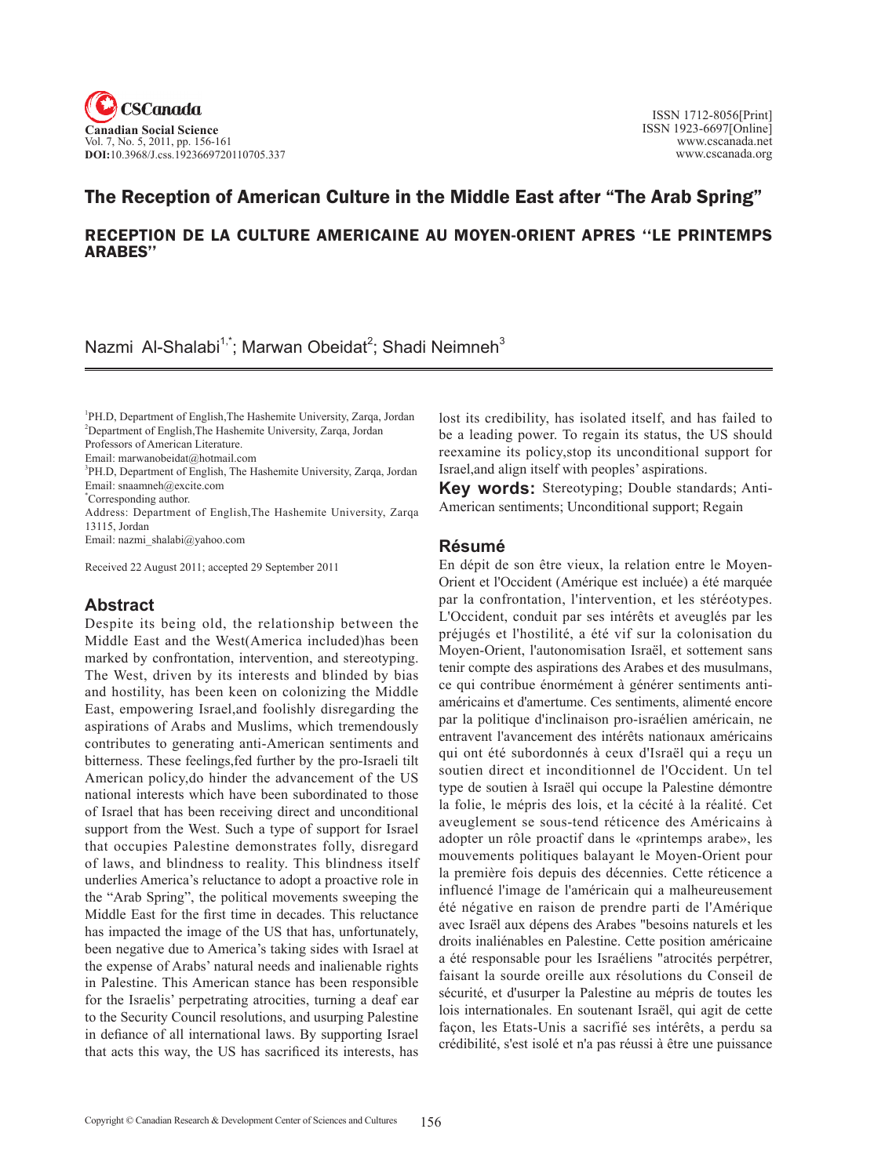

# The Reception of American Culture in the Middle East after "The Arab Spring"

### RECEPTION DE LA CULTURE AMERICAINE AU MOYEN-ORIENT APRES ''LE PRINTEMPS ARABES''

Nazmi Al-Shalabi<sup>1,\*</sup>; Marwan Obeidat<sup>2</sup>; Shadi Neimneh<sup>3</sup>

<sup>1</sup>PH.D, Department of English, The Hashemite University, Zarqa, Jordan 2 Department of English,The Hashemite University, Zarqa, Jordan Professors of American Literature.

Email: marwanobeidat@hotmail.com

<sup>3</sup>PH.D, Department of English, The Hashemite University, Zarqa, Jordan Email: snaamneh@excite.com

\* Corresponding author.

Address: Department of English,The Hashemite University, Zarqa 13115, Jordan

Email: nazmi\_shalabi@yahoo.com

Received 22 August 2011; accepted 29 September 2011

## **Abstract**

Despite its being old, the relationship between the Middle East and the West(America included)has been marked by confrontation, intervention, and stereotyping. The West, driven by its interests and blinded by bias and hostility, has been keen on colonizing the Middle East, empowering Israel,and foolishly disregarding the aspirations of Arabs and Muslims, which tremendously contributes to generating anti-American sentiments and bitterness. These feelings,fed further by the pro-Israeli tilt American policy,do hinder the advancement of the US national interests which have been subordinated to those of Israel that has been receiving direct and unconditional support from the West. Such a type of support for Israel that occupies Palestine demonstrates folly, disregard of laws, and blindness to reality. This blindness itself underlies America's reluctance to adopt a proactive role in the "Arab Spring", the political movements sweeping the Middle East for the first time in decades. This reluctance has impacted the image of the US that has, unfortunately, been negative due to America's taking sides with Israel at the expense of Arabs' natural needs and inalienable rights in Palestine. This American stance has been responsible for the Israelis' perpetrating atrocities, turning a deaf ear to the Security Council resolutions, and usurping Palestine in defiance of all international laws. By supporting Israel that acts this way, the US has sacrificed its interests, has

lost its credibility, has isolated itself, and has failed to be a leading power. To regain its status, the US should reexamine its policy,stop its unconditional support for Israel,and align itself with peoples' aspirations.

**Key words:** Stereotyping; Double standards; Anti-American sentiments; Unconditional support; Regain

#### **Résumé**

En dépit de son être vieux, la relation entre le Moyen-Orient et l'Occident (Amérique est incluée) a été marquée par la confrontation, l'intervention, et les stéréotypes. L'Occident, conduit par ses intérêts et aveuglés par les préjugés et l'hostilité, a été vif sur la colonisation du Moyen-Orient, l'autonomisation Israël, et sottement sans tenir compte des aspirations des Arabes et des musulmans, ce qui contribue énormément à générer sentiments antiaméricains et d'amertume. Ces sentiments, alimenté encore par la politique d'inclinaison pro-israélien américain, ne entravent l'avancement des intérêts nationaux américains qui ont été subordonnés à ceux d'Israël qui a reçu un soutien direct et inconditionnel de l'Occident. Un tel type de soutien à Israël qui occupe la Palestine démontre la folie, le mépris des lois, et la cécité à la réalité. Cet aveuglement se sous-tend réticence des Américains à adopter un rôle proactif dans le «printemps arabe», les mouvements politiques balayant le Moyen-Orient pour la première fois depuis des décennies. Cette réticence a influencé l'image de l'américain qui a malheureusement été négative en raison de prendre parti de l'Amérique avec Israël aux dépens des Arabes "besoins naturels et les droits inaliénables en Palestine. Cette position américaine a été responsable pour les Israéliens "atrocités perpétrer, faisant la sourde oreille aux résolutions du Conseil de sécurité, et d'usurper la Palestine au mépris de toutes les lois internationales. En soutenant Israël, qui agit de cette façon, les Etats-Unis a sacrifié ses intérêts, a perdu sa crédibilité, s'est isolé et n'a pas réussi à être une puissance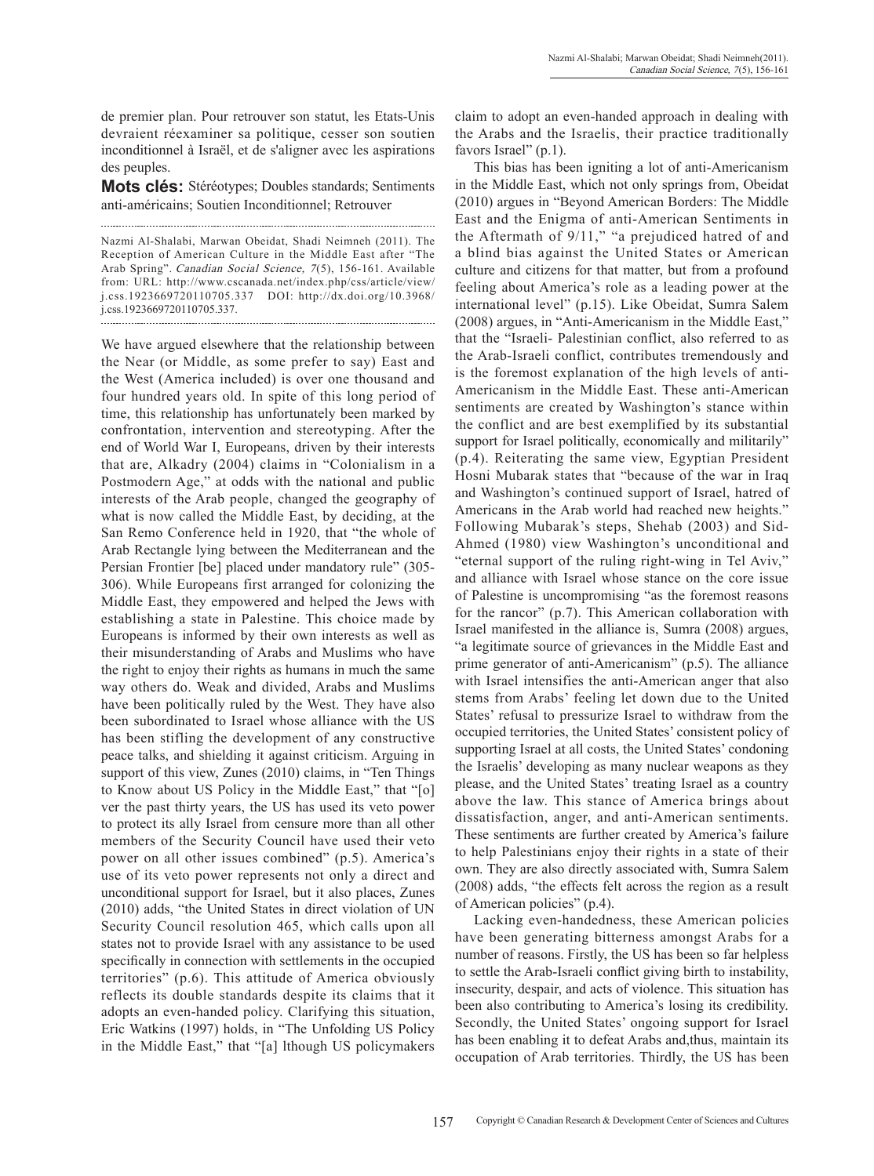de premier plan. Pour retrouver son statut, les Etats-Unis devraient réexaminer sa politique, cesser son soutien inconditionnel à Israël, et de s'aligner avec les aspirations des peuples.

**Mots clés:** Stéréotypes; Doubles standards; Sentiments anti-américains; Soutien Inconditionnel; Retrouver

Nazmi Al-Shalabi, Marwan Obeidat, Shadi Neimneh (2011). The Reception of American Culture in the Middle East after "The Arab Spring". Canadian Social Science, 7(5), 156-161. Available from: URL: http://www.cscanada.net/index.php/css/article/view/ j.css.1923669720110705.337 DOI: http://dx.doi.org/10.3968/ j.css.1923669720110705.337. 

We have argued elsewhere that the relationship between the Near (or Middle, as some prefer to say) East and the West (America included) is over one thousand and four hundred years old. In spite of this long period of time, this relationship has unfortunately been marked by confrontation, intervention and stereotyping. After the end of World War I, Europeans, driven by their interests that are, Alkadry (2004) claims in "Colonialism in a Postmodern Age," at odds with the national and public interests of the Arab people, changed the geography of what is now called the Middle East, by deciding, at the San Remo Conference held in 1920, that "the whole of Arab Rectangle lying between the Mediterranean and the Persian Frontier [be] placed under mandatory rule" (305- 306). While Europeans first arranged for colonizing the Middle East, they empowered and helped the Jews with establishing a state in Palestine. This choice made by Europeans is informed by their own interests as well as their misunderstanding of Arabs and Muslims who have the right to enjoy their rights as humans in much the same way others do. Weak and divided, Arabs and Muslims have been politically ruled by the West. They have also been subordinated to Israel whose alliance with the US has been stifling the development of any constructive peace talks, and shielding it against criticism. Arguing in support of this view, Zunes (2010) claims, in "Ten Things to Know about US Policy in the Middle East," that "[o] ver the past thirty years, the US has used its veto power to protect its ally Israel from censure more than all other members of the Security Council have used their veto power on all other issues combined" (p.5). America's use of its veto power represents not only a direct and unconditional support for Israel, but it also places, Zunes (2010) adds, "the United States in direct violation of UN Security Council resolution 465, which calls upon all states not to provide Israel with any assistance to be used specifically in connection with settlements in the occupied territories" (p.6). This attitude of America obviously reflects its double standards despite its claims that it adopts an even-handed policy. Clarifying this situation, Eric Watkins (1997) holds, in "The Unfolding US Policy in the Middle East," that "[a] lthough US policymakers

claim to adopt an even-handed approach in dealing with the Arabs and the Israelis, their practice traditionally favors Israel" (p.1).

This bias has been igniting a lot of anti-Americanism in the Middle East, which not only springs from, Obeidat (2010) argues in "Beyond American Borders: The Middle East and the Enigma of anti-American Sentiments in the Aftermath of 9/11," "a prejudiced hatred of and a blind bias against the United States or American culture and citizens for that matter, but from a profound feeling about America's role as a leading power at the international level" (p.15). Like Obeidat, Sumra Salem (2008) argues, in "Anti-Americanism in the Middle East," that the "Israeli- Palestinian conflict, also referred to as the Arab-Israeli conflict, contributes tremendously and is the foremost explanation of the high levels of anti-Americanism in the Middle East. These anti-American sentiments are created by Washington's stance within the conflict and are best exemplified by its substantial support for Israel politically, economically and militarily" (p.4). Reiterating the same view, Egyptian President Hosni Mubarak states that "because of the war in Iraq and Washington's continued support of Israel, hatred of Americans in the Arab world had reached new heights." Following Mubarak's steps, Shehab (2003) and Sid-Ahmed (1980) view Washington's unconditional and "eternal support of the ruling right-wing in Tel Aviv," and alliance with Israel whose stance on the core issue of Palestine is uncompromising "as the foremost reasons for the rancor" (p.7). This American collaboration with Israel manifested in the alliance is, Sumra (2008) argues, "a legitimate source of grievances in the Middle East and prime generator of anti-Americanism" (p.5). The alliance with Israel intensifies the anti-American anger that also stems from Arabs' feeling let down due to the United States' refusal to pressurize Israel to withdraw from the occupied territories, the United States' consistent policy of supporting Israel at all costs, the United States' condoning the Israelis' developing as many nuclear weapons as they please, and the United States' treating Israel as a country above the law. This stance of America brings about dissatisfaction, anger, and anti-American sentiments. These sentiments are further created by America's failure to help Palestinians enjoy their rights in a state of their own. They are also directly associated with, Sumra Salem (2008) adds, "the effects felt across the region as a result of American policies" (p.4).

Lacking even-handedness, these American policies have been generating bitterness amongst Arabs for a number of reasons. Firstly, the US has been so far helpless to settle the Arab-Israeli conflict giving birth to instability, insecurity, despair, and acts of violence. This situation has been also contributing to America's losing its credibility. Secondly, the United States' ongoing support for Israel has been enabling it to defeat Arabs and,thus, maintain its occupation of Arab territories. Thirdly, the US has been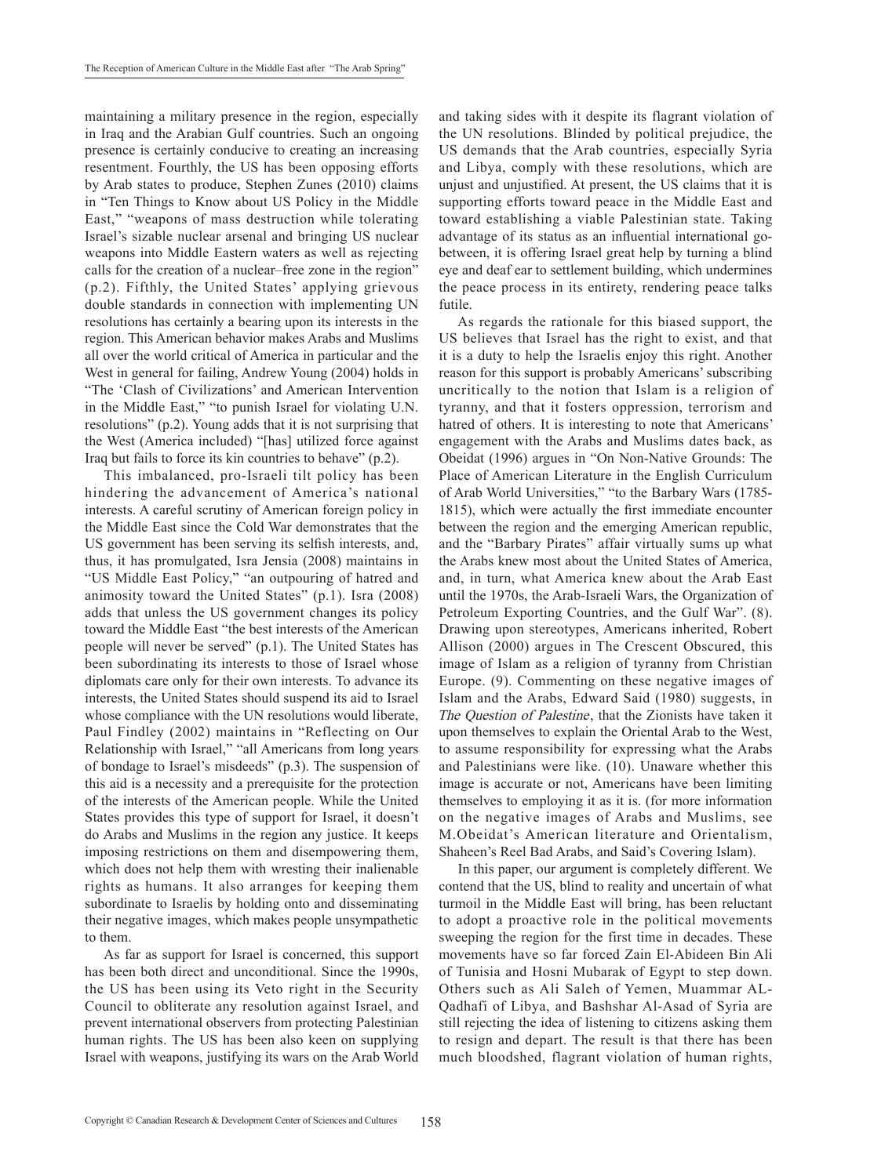maintaining a military presence in the region, especially in Iraq and the Arabian Gulf countries. Such an ongoing presence is certainly conducive to creating an increasing resentment. Fourthly, the US has been opposing efforts by Arab states to produce, Stephen Zunes (2010) claims in "Ten Things to Know about US Policy in the Middle East," "weapons of mass destruction while tolerating Israel's sizable nuclear arsenal and bringing US nuclear weapons into Middle Eastern waters as well as rejecting calls for the creation of a nuclear–free zone in the region" (p.2). Fifthly, the United States' applying grievous double standards in connection with implementing UN resolutions has certainly a bearing upon its interests in the region. This American behavior makes Arabs and Muslims all over the world critical of America in particular and the West in general for failing, Andrew Young (2004) holds in "The 'Clash of Civilizations' and American Intervention in the Middle East," "to punish Israel for violating U.N. resolutions" (p.2). Young adds that it is not surprising that the West (America included) "[has] utilized force against Iraq but fails to force its kin countries to behave" (p.2).

This imbalanced, pro-Israeli tilt policy has been hindering the advancement of America's national interests. A careful scrutiny of American foreign policy in the Middle East since the Cold War demonstrates that the US government has been serving its selfish interests, and, thus, it has promulgated, Isra Jensia (2008) maintains in "US Middle East Policy," "an outpouring of hatred and animosity toward the United States" (p.1). Isra (2008) adds that unless the US government changes its policy toward the Middle East "the best interests of the American people will never be served" (p.1). The United States has been subordinating its interests to those of Israel whose diplomats care only for their own interests. To advance its interests, the United States should suspend its aid to Israel whose compliance with the UN resolutions would liberate, Paul Findley (2002) maintains in "Reflecting on Our Relationship with Israel," "all Americans from long years of bondage to Israel's misdeeds" (p.3). The suspension of this aid is a necessity and a prerequisite for the protection of the interests of the American people. While the United States provides this type of support for Israel, it doesn't do Arabs and Muslims in the region any justice. It keeps imposing restrictions on them and disempowering them, which does not help them with wresting their inalienable rights as humans. It also arranges for keeping them subordinate to Israelis by holding onto and disseminating their negative images, which makes people unsympathetic to them.

As far as support for Israel is concerned, this support has been both direct and unconditional. Since the 1990s, the US has been using its Veto right in the Security Council to obliterate any resolution against Israel, and prevent international observers from protecting Palestinian human rights. The US has been also keen on supplying Israel with weapons, justifying its wars on the Arab World and taking sides with it despite its flagrant violation of the UN resolutions. Blinded by political prejudice, the US demands that the Arab countries, especially Syria and Libya, comply with these resolutions, which are unjust and unjustified. At present, the US claims that it is supporting efforts toward peace in the Middle East and toward establishing a viable Palestinian state. Taking advantage of its status as an influential international gobetween, it is offering Israel great help by turning a blind eye and deaf ear to settlement building, which undermines the peace process in its entirety, rendering peace talks futile.

As regards the rationale for this biased support, the US believes that Israel has the right to exist, and that it is a duty to help the Israelis enjoy this right. Another reason for this support is probably Americans' subscribing uncritically to the notion that Islam is a religion of tyranny, and that it fosters oppression, terrorism and hatred of others. It is interesting to note that Americans' engagement with the Arabs and Muslims dates back, as Obeidat (1996) argues in "On Non-Native Grounds: The Place of American Literature in the English Curriculum of Arab World Universities," "to the Barbary Wars (1785- 1815), which were actually the first immediate encounter between the region and the emerging American republic, and the "Barbary Pirates" affair virtually sums up what the Arabs knew most about the United States of America, and, in turn, what America knew about the Arab East until the 1970s, the Arab-Israeli Wars, the Organization of Petroleum Exporting Countries, and the Gulf War". (8). Drawing upon stereotypes, Americans inherited, Robert Allison (2000) argues in The Crescent Obscured, this image of Islam as a religion of tyranny from Christian Europe. (9). Commenting on these negative images of Islam and the Arabs, Edward Said (1980) suggests, in The Question of Palestine, that the Zionists have taken it upon themselves to explain the Oriental Arab to the West, to assume responsibility for expressing what the Arabs and Palestinians were like. (10). Unaware whether this image is accurate or not, Americans have been limiting themselves to employing it as it is. (for more information on the negative images of Arabs and Muslims, see M.Obeidat's American literature and Orientalism, Shaheen's Reel Bad Arabs, and Said's Covering Islam).

In this paper, our argument is completely different. We contend that the US, blind to reality and uncertain of what turmoil in the Middle East will bring, has been reluctant to adopt a proactive role in the political movements sweeping the region for the first time in decades. These movements have so far forced Zain El-Abideen Bin Ali of Tunisia and Hosni Mubarak of Egypt to step down. Others such as Ali Saleh of Yemen, Muammar AL-Qadhafi of Libya, and Bashshar Al-Asad of Syria are still rejecting the idea of listening to citizens asking them to resign and depart. The result is that there has been much bloodshed, flagrant violation of human rights,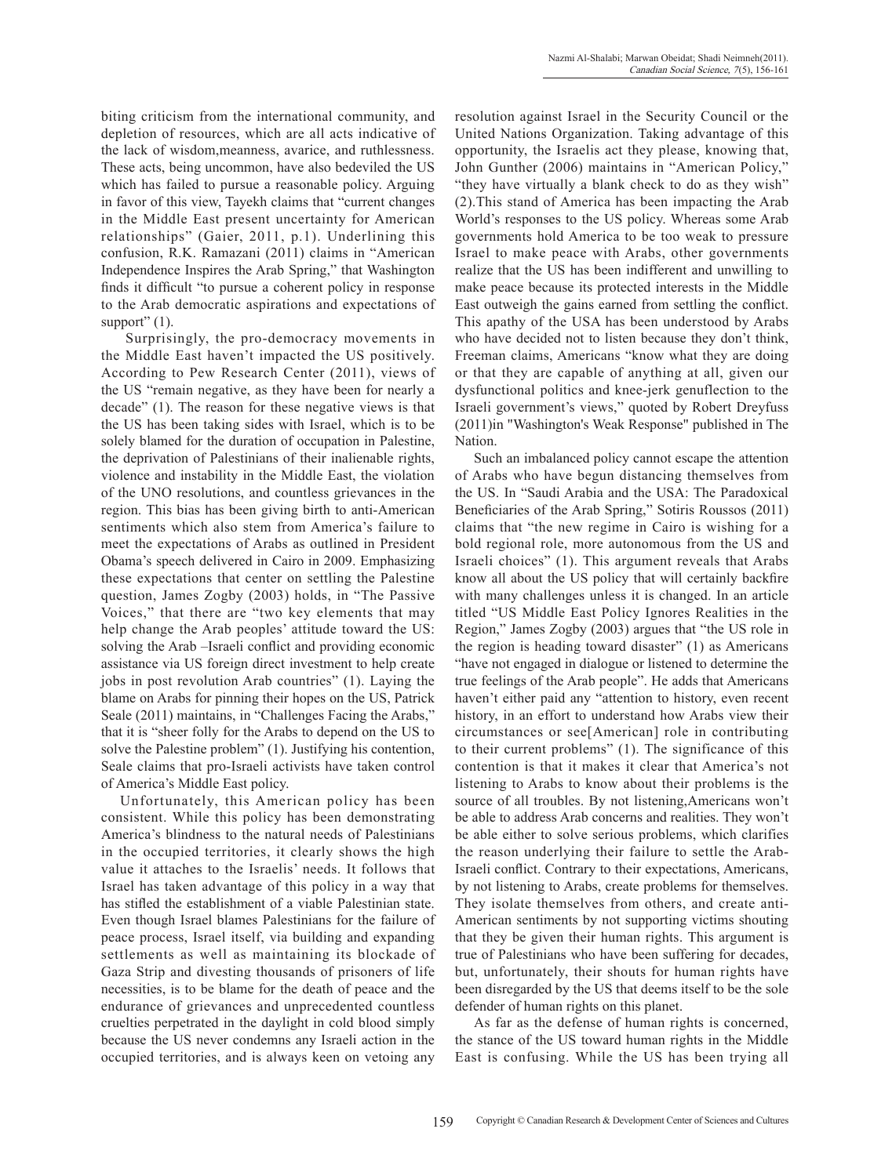biting criticism from the international community, and depletion of resources, which are all acts indicative of the lack of wisdom,meanness, avarice, and ruthlessness. These acts, being uncommon, have also bedeviled the US which has failed to pursue a reasonable policy. Arguing in favor of this view, Tayekh claims that "current changes in the Middle East present uncertainty for American relationships" (Gaier, 2011, p.1). Underlining this confusion, R.K. Ramazani (2011) claims in "American Independence Inspires the Arab Spring," that Washington finds it difficult "to pursue a coherent policy in response to the Arab democratic aspirations and expectations of support"  $(1)$ .

 Surprisingly, the pro-democracy movements in the Middle East haven't impacted the US positively. According to Pew Research Center (2011), views of the US "remain negative, as they have been for nearly a decade" (1). The reason for these negative views is that the US has been taking sides with Israel, which is to be solely blamed for the duration of occupation in Palestine, the deprivation of Palestinians of their inalienable rights, violence and instability in the Middle East, the violation of the UNO resolutions, and countless grievances in the region. This bias has been giving birth to anti-American sentiments which also stem from America's failure to meet the expectations of Arabs as outlined in President Obama's speech delivered in Cairo in 2009. Emphasizing these expectations that center on settling the Palestine question, James Zogby (2003) holds, in "The Passive Voices," that there are "two key elements that may help change the Arab peoples' attitude toward the US: solving the Arab –Israeli conflict and providing economic assistance via US foreign direct investment to help create jobs in post revolution Arab countries" (1). Laying the blame on Arabs for pinning their hopes on the US, Patrick Seale (2011) maintains, in "Challenges Facing the Arabs," that it is "sheer folly for the Arabs to depend on the US to solve the Palestine problem" (1). Justifying his contention, Seale claims that pro-Israeli activists have taken control of America's Middle East policy.

Unfortunately, this American policy has been consistent. While this policy has been demonstrating America's blindness to the natural needs of Palestinians in the occupied territories, it clearly shows the high value it attaches to the Israelis' needs. It follows that Israel has taken advantage of this policy in a way that has stifled the establishment of a viable Palestinian state. Even though Israel blames Palestinians for the failure of peace process, Israel itself, via building and expanding settlements as well as maintaining its blockade of Gaza Strip and divesting thousands of prisoners of life necessities, is to be blame for the death of peace and the endurance of grievances and unprecedented countless cruelties perpetrated in the daylight in cold blood simply because the US never condemns any Israeli action in the occupied territories, and is always keen on vetoing any

resolution against Israel in the Security Council or the United Nations Organization. Taking advantage of this opportunity, the Israelis act they please, knowing that, John Gunther (2006) maintains in "American Policy," "they have virtually a blank check to do as they wish" (2).This stand of America has been impacting the Arab World's responses to the US policy. Whereas some Arab governments hold America to be too weak to pressure Israel to make peace with Arabs, other governments realize that the US has been indifferent and unwilling to make peace because its protected interests in the Middle East outweigh the gains earned from settling the conflict. This apathy of the USA has been understood by Arabs who have decided not to listen because they don't think, Freeman claims, Americans "know what they are doing or that they are capable of anything at all, given our dysfunctional politics and knee-jerk genuflection to the Israeli government's views," quoted by Robert Dreyfuss (2011)in "Washington's Weak Response" published in The Nation.

Such an imbalanced policy cannot escape the attention of Arabs who have begun distancing themselves from the US. In "Saudi Arabia and the USA: The Paradoxical Beneficiaries of the Arab Spring," Sotiris Roussos (2011) claims that "the new regime in Cairo is wishing for a bold regional role, more autonomous from the US and Israeli choices" (1). This argument reveals that Arabs know all about the US policy that will certainly backfire with many challenges unless it is changed. In an article titled "US Middle East Policy Ignores Realities in the Region," James Zogby (2003) argues that "the US role in the region is heading toward disaster" (1) as Americans "have not engaged in dialogue or listened to determine the true feelings of the Arab people". He adds that Americans haven't either paid any "attention to history, even recent history, in an effort to understand how Arabs view their circumstances or see[American] role in contributing to their current problems" (1). The significance of this contention is that it makes it clear that America's not listening to Arabs to know about their problems is the source of all troubles. By not listening,Americans won't be able to address Arab concerns and realities. They won't be able either to solve serious problems, which clarifies the reason underlying their failure to settle the Arab-Israeli conflict. Contrary to their expectations, Americans, by not listening to Arabs, create problems for themselves. They isolate themselves from others, and create anti-American sentiments by not supporting victims shouting that they be given their human rights. This argument is true of Palestinians who have been suffering for decades, but, unfortunately, their shouts for human rights have been disregarded by the US that deems itself to be the sole defender of human rights on this planet.

As far as the defense of human rights is concerned, the stance of the US toward human rights in the Middle East is confusing. While the US has been trying all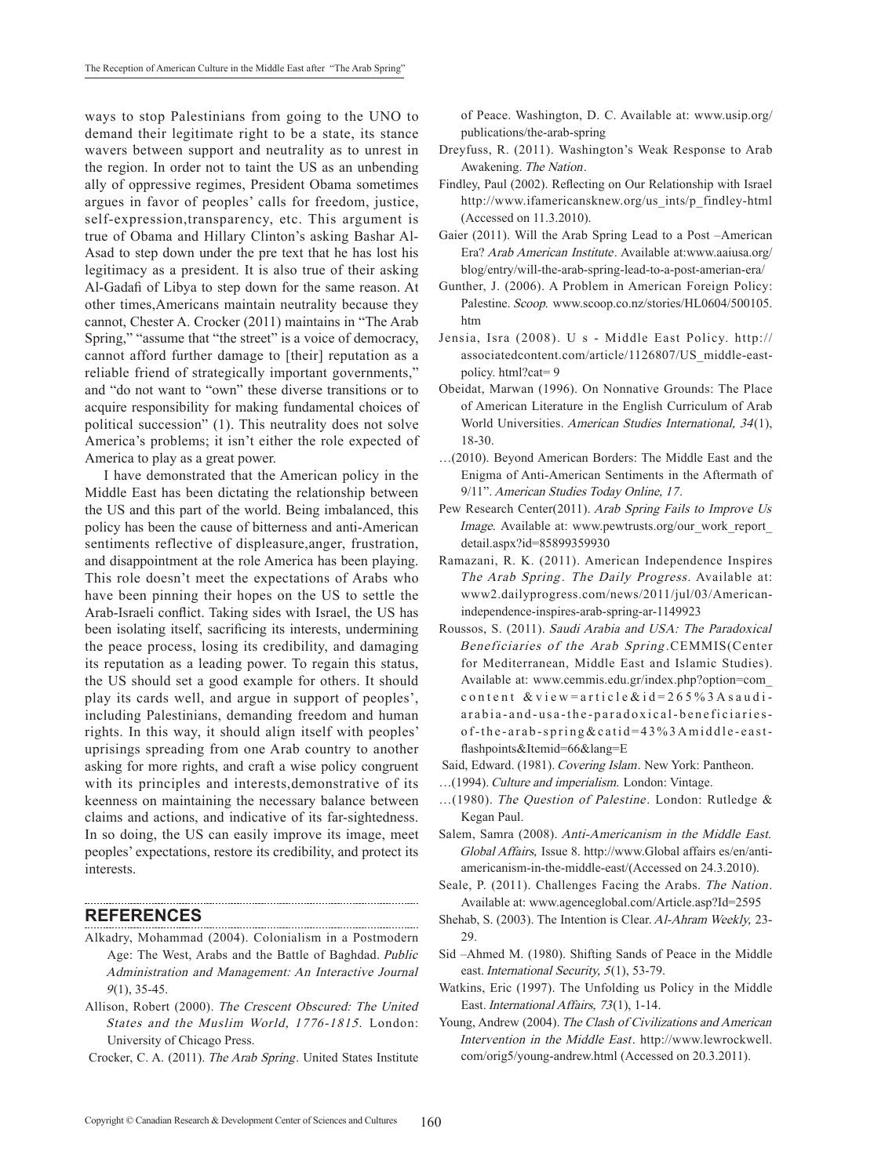ways to stop Palestinians from going to the UNO to demand their legitimate right to be a state, its stance wavers between support and neutrality as to unrest in the region. In order not to taint the US as an unbending ally of oppressive regimes, President Obama sometimes argues in favor of peoples' calls for freedom, justice, self-expression,transparency, etc. This argument is true of Obama and Hillary Clinton's asking Bashar Al-Asad to step down under the pre text that he has lost his legitimacy as a president. It is also true of their asking Al-Gadafi of Libya to step down for the same reason. At other times,Americans maintain neutrality because they cannot, Chester A. Crocker (2011) maintains in "The Arab Spring," "assume that "the street" is a voice of democracy, cannot afford further damage to [their] reputation as a reliable friend of strategically important governments," and "do not want to "own" these diverse transitions or to acquire responsibility for making fundamental choices of political succession" (1). This neutrality does not solve America's problems; it isn't either the role expected of America to play as a great power.

I have demonstrated that the American policy in the Middle East has been dictating the relationship between the US and this part of the world. Being imbalanced, this policy has been the cause of bitterness and anti-American sentiments reflective of displeasure,anger, frustration, and disappointment at the role America has been playing. This role doesn't meet the expectations of Arabs who have been pinning their hopes on the US to settle the Arab-Israeli conflict. Taking sides with Israel, the US has been isolating itself, sacrificing its interests, undermining the peace process, losing its credibility, and damaging its reputation as a leading power. To regain this status, the US should set a good example for others. It should play its cards well, and argue in support of peoples', including Palestinians, demanding freedom and human rights. In this way, it should align itself with peoples' uprisings spreading from one Arab country to another asking for more rights, and craft a wise policy congruent with its principles and interests,demonstrative of its keenness on maintaining the necessary balance between claims and actions, and indicative of its far-sightedness. In so doing, the US can easily improve its image, meet peoples' expectations, restore its credibility, and protect its interests.

#### **References**

Alkadry, Mohammad (2004). Colonialism in a Postmodern Age: The West, Arabs and the Battle of Baghdad. Public Administration and Management: An Interactive Journal  $9(1)$ , 35-45.

- Allison, Robert (2000). The Crescent Obscured: The United States and the Muslim World, 1776-1815. London: University of Chicago Press.
- Crocker, C. A. (2011). The Arab spring. United States Institute

of peace. Washington, D. C. Available at: www.usip.org/ publications/the-arab-spring

- Dreyfuss, R. (2011). Washington's Weak Response to Arab Awakening. The Nation.
- Findley, Paul (2002). Reflecting on Our Relationship with Israel http://www.ifamericansknew.org/us\_ints/p\_findley-html (Accessed on 11.3.2010).
- Gaier (2011). Will the Arab Spring Lead to a Post –American Era? Arab American Institute. Available at:www.aaiusa.org/ blog/entry/will-the-arab-spring-lead-to-a-post-amerian-era/
- Gunther, J. (2006). A Problem in American Foreign Policy: Palestine. Scoop. www.scoop.co.nz/stories/HL0604/500105. htm
- Jensia, Isra (2008). U s Middle East Policy. http:// associatedcontent.com/article/1126807/US\_middle-eastpolicy. html?cat= 9
- Obeidat, Marwan (1996). On Nonnative Grounds: The Place of American Literature in the English Curriculum of Arab World Universities. American Studies International, 34(1), 18-30.
- ...(2010). Beyond American Borders: The Middle East and the Enigma of Anti-American Sentiments in the Aftermath of 9/11". American Studies Today Online, 17.
- Pew Research Center(2011). Arab Spring Fails to Improve Us Image. Available at: www.pewtrusts.org/our\_work\_report\_ detail.aspx?id=85899359930
- Ramazani, R. K. (2011). American Independence Inspires The Arab Spring. The Daily Progress. Available at: www2.dailyprogress.com/news/2011/jul/03/Americanindependence-inspires-arab-spring-ar-1149923
- Roussos, S. (2011). Saudi Arabia and USA: The Paradoxical beneficiaries of the arab spring .CEMMIS(Center for Mediterranean, Middle East and Islamic Studies). Available at: www.cemmis.edu.gr/index.php?option=com\_ content &view=article&id=265%3Asaudiarabia-and-usa-the-paradoxical-beneficiariesof-the-arab-spring&catid=43%3Amiddle-eastflashpoints&Itemid=66&lang=E
- Said, Edward. (1981). Covering Islam. New York: Pantheon.
- …(1994). Culture and imperialism. London: Vintage.
- ...(1980). The Question of Palestine. London: Rutledge & Kegan Paul.
- Salem, Samra (2008). Anti-Americanism in the Middle East. Global Affairs, Issue 8. http://www.Global affairs es/en/antiamericanism-in-the-middle-east/(Accessed on 24.3.2010).
- Seale, P. (2011). Challenges Facing the Arabs. The Nation. Available at: www.agenceglobal.com/Article.asp?Id=2595
- Shehab, S. (2003). The Intention is clear. Al-Ahram Weekly, 23- 29.
- Sid –Ahmed M. (1980). Shifting Sands of Peace in the Middle east. International Security, 5(1), 53-79.
- Watkins, Eric (1997). The Unfolding us Policy in the Middle East. International Affairs, 73(1), 1-14.
- Young, Andrew (2004). The Clash of Civilizations and American Intervention in the Middle East. http://www.lewrockwell. com/orig5/young-andrew.html (Accessed on 20.3.2011).